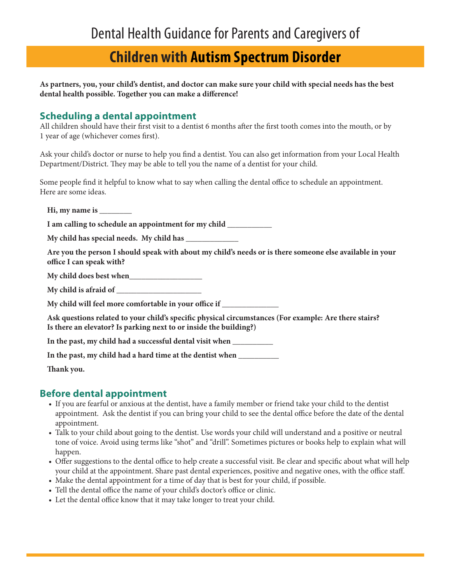# **Children with Autism Spectrum Disorder**

**As partners, you, your child's dentist, and doctor can make sure your child with special needs has the best dental health possible. Together you can make a difference!** 

#### **Scheduling a dental appointment**

All children should have their first visit to a dentist 6 months after the first tooth comes into the mouth, or by 1 year of age (whichever comes first).

Ask your child's doctor or nurse to help you find a dentist. You can also get information from your Local Health Department/District. They may be able to tell you the name of a dentist for your child.

Some people find it helpful to know what to say when calling the dental office to schedule an appointment. Here are some ideas.

**Hi, my name is \_\_\_\_\_\_\_\_**

**I am calling to schedule an appointment for my child \_\_\_\_\_\_\_\_\_\_\_**

**My child has special needs. My child has \_\_\_\_\_\_\_\_\_\_\_\_\_**

**Are you the person I should speak with about my child's needs or is there someone else available in your office I can speak with?**

**My child does best when\_\_\_\_\_\_\_\_\_\_\_\_\_\_\_\_\_\_**

**My child is afraid of \_\_\_\_\_\_\_\_\_\_\_\_\_\_\_\_\_\_\_\_\_**

**My child will feel more comfortable in your office if \_\_\_\_\_\_\_\_\_\_\_\_\_\_**

**Ask questions related to your child's specific physical circumstances (For example: Are there stairs? Is there an elevator? Is parking next to or inside the building?)**

**In the past, my child had a successful dental visit when \_\_\_\_\_\_\_\_\_\_**

**In the past, my child had a hard time at the dentist when \_\_\_\_\_\_\_\_\_\_**

**Thank you.** 

#### **Before dental appointment**

- If you are fearful or anxious at the dentist, have a family member or friend take your child to the dentist appointment. Ask the dentist if you can bring your child to see the dental office before the date of the dental appointment.
- Talk to your child about going to the dentist. Use words your child will understand and a positive or neutral tone of voice. Avoid using terms like "shot" and "drill". Sometimes pictures or books help to explain what will happen.
- Offer suggestions to the dental office to help create a successful visit. Be clear and specific about what will help your child at the appointment. Share past dental experiences, positive and negative ones, with the office staff.
- Make the dental appointment for a time of day that is best for your child, if possible.
- Tell the dental office the name of your child's doctor's office or clinic.
- Let the dental office know that it may take longer to treat your child.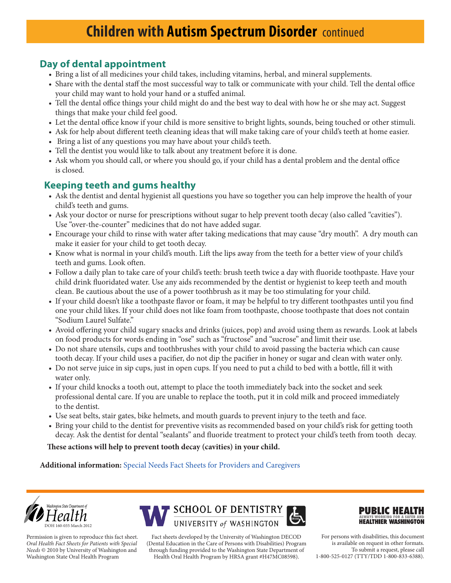## **Day of dental appointment**

- Bring a list of all medicines your child takes, including vitamins, herbal, and mineral supplements.
- Share with the dental staff the most successful way to talk or communicate with your child. Tell the dental office your child may want to hold your hand or a stuffed animal.
- Tell the dental office things your child might do and the best way to deal with how he or she may act. Suggest things that make your child feel good.
- Let the dental office know if your child is more sensitive to bright lights, sounds, being touched or other stimuli.
- Ask for help about different teeth cleaning ideas that will make taking care of your child's teeth at home easier.
- Bring a list of any questions you may have about your child's teeth.
- Tell the dentist you would like to talk about any treatment before it is done.
- Ask whom you should call, or where you should go, if your child has a dental problem and the dental office is closed.

### **Keeping teeth and gums healthy**

- Ask the dentist and dental hygienist all questions you have so together you can help improve the health of your child's teeth and gums.
- Ask your doctor or nurse for prescriptions without sugar to help prevent tooth decay (also called "cavities"). Use "over-the-counter" medicines that do not have added sugar.
- Encourage your child to rinse with water after taking medications that may cause "dry mouth". A dry mouth can make it easier for your child to get tooth decay.
- Know what is normal in your child's mouth. Lift the lips away from the teeth for a better view of your child's teeth and gums. Look often.
- Follow a daily plan to take care of your child's teeth: brush teeth twice a day with fluoride toothpaste. Have your child drink fluoridated water. Use any aids recommended by the dentist or hygienist to keep teeth and mouth clean. Be cautious about the use of a power toothbrush as it may be too stimulating for your child.
- If your child doesn't like a toothpaste flavor or foam, it may be helpful to try different toothpastes until you find one your child likes. If your child does not like foam from toothpaste, choose toothpaste that does not contain "Sodium Laurel Sulfate."
- Avoid offering your child sugary snacks and drinks (juices, pop) and avoid using them as rewards. Look at labels on food products for words ending in "ose" such as "fructose" and "sucrose" and limit their use.
- Do not share utensils, cups and toothbrushes with your child to avoid passing the bacteria which can cause tooth decay. If your child uses a pacifier, do not dip the pacifier in honey or sugar and clean with water only.
- Do not serve juice in sip cups, just in open cups. If you need to put a child to bed with a bottle, fill it with water only.
- If your child knocks a tooth out, attempt to place the tooth immediately back into the socket and seek professional dental care. If you are unable to replace the tooth, put it in cold milk and proceed immediately to the dentist.
- Use seat belts, stair gates, bike helmets, and mouth guards to prevent injury to the teeth and face.
- Bring your child to the dentist for preventive visits as recommended based on your child's risk for getting tooth decay. Ask the dentist for dental "sealants" and fluoride treatment to protect your child's teeth from tooth decay.

#### **These actions will help to prevent tooth decay (cavities) in your child.**

**Additional information:** [Special Needs Fact Sheets for Providers and Caregivers](http://dental.washington.edu/departments/oral-medicine/special-needs-fact-sheets.html)



Permission is given to reproduce this fact sheet. *Oral Health Fact Sheets for Patients with Special Needs* © 2010 by University of Washington and Washington State Oral Health Program



Fact sheets developed by the University of Washington DECOD (Dental Education in the Care of Persons with Disabilities) Program through funding provided to the Washington State Department of Health Oral Health Program by HRSA grant #H47MC08598).



For persons with disabilities, this document is available on request in other formats. To submit a request, please call 1-800-525-0127 (TTY/TDD 1-800-833-6388).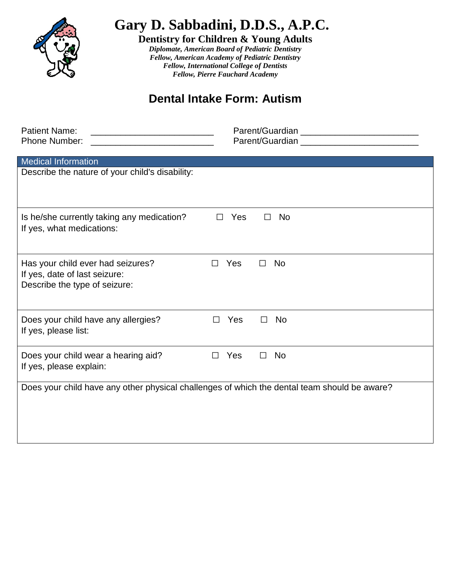

**Gary D. Sabbadini, D.D.S., A.P.C.**

**Dentistry for Children & Young Adults**

*Diplomate, American Board of Pediatric Dentistry Fellow, American Academy of Pediatric Dentistry Fellow, International College of Dentists Fellow, Pierre Fauchard Academy*

## **Dental Intake Form: Autism**

| <b>Patient Name:</b>                                                                         |                                                                                                                                                                                                                                |  |  |  |  |
|----------------------------------------------------------------------------------------------|--------------------------------------------------------------------------------------------------------------------------------------------------------------------------------------------------------------------------------|--|--|--|--|
| Phone Number:                                                                                | Parent/Guardian experience and the control of the control of the control of the control of the control of the control of the control of the control of the control of the control of the control of the control of the control |  |  |  |  |
|                                                                                              |                                                                                                                                                                                                                                |  |  |  |  |
| <b>Medical Information</b>                                                                   |                                                                                                                                                                                                                                |  |  |  |  |
| Describe the nature of your child's disability:                                              |                                                                                                                                                                                                                                |  |  |  |  |
|                                                                                              |                                                                                                                                                                                                                                |  |  |  |  |
|                                                                                              |                                                                                                                                                                                                                                |  |  |  |  |
| Is he/she currently taking any medication?                                                   | Yes<br><b>No</b><br>$\Box$<br>$\Box$                                                                                                                                                                                           |  |  |  |  |
| If yes, what medications:                                                                    |                                                                                                                                                                                                                                |  |  |  |  |
|                                                                                              |                                                                                                                                                                                                                                |  |  |  |  |
|                                                                                              |                                                                                                                                                                                                                                |  |  |  |  |
| Has your child ever had seizures?                                                            | Yes<br><b>No</b><br>П<br>$\mathsf{L}$                                                                                                                                                                                          |  |  |  |  |
| If yes, date of last seizure:                                                                |                                                                                                                                                                                                                                |  |  |  |  |
| Describe the type of seizure:                                                                |                                                                                                                                                                                                                                |  |  |  |  |
|                                                                                              |                                                                                                                                                                                                                                |  |  |  |  |
| Does your child have any allergies?                                                          | Yes<br><b>No</b><br>$\perp$                                                                                                                                                                                                    |  |  |  |  |
| If yes, please list:                                                                         |                                                                                                                                                                                                                                |  |  |  |  |
|                                                                                              |                                                                                                                                                                                                                                |  |  |  |  |
| Does your child wear a hearing aid?                                                          | Yes<br><b>No</b><br>$\Box$<br>П                                                                                                                                                                                                |  |  |  |  |
| If yes, please explain:                                                                      |                                                                                                                                                                                                                                |  |  |  |  |
|                                                                                              |                                                                                                                                                                                                                                |  |  |  |  |
| Does your child have any other physical challenges of which the dental team should be aware? |                                                                                                                                                                                                                                |  |  |  |  |
|                                                                                              |                                                                                                                                                                                                                                |  |  |  |  |
|                                                                                              |                                                                                                                                                                                                                                |  |  |  |  |
|                                                                                              |                                                                                                                                                                                                                                |  |  |  |  |
|                                                                                              |                                                                                                                                                                                                                                |  |  |  |  |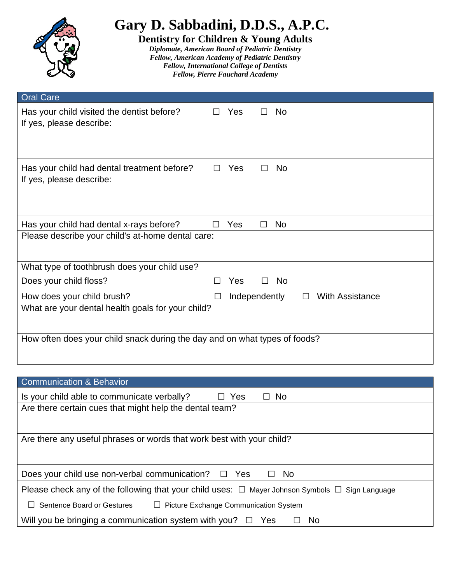| Gary D. Sabbadini, D.D.S., A.P.C.<br><b>Dentistry for Children &amp; Young Adults</b><br>Diplomate, American Board of Pediatric Dentistry<br>Fellow, American Academy of Pediatric Dentistry<br><b>Fellow, International College of Dentists</b><br><b>Fellow, Pierre Fauchard Academy</b> |              |               |  |           |                        |  |  |
|--------------------------------------------------------------------------------------------------------------------------------------------------------------------------------------------------------------------------------------------------------------------------------------------|--------------|---------------|--|-----------|------------------------|--|--|
| <b>Oral Care</b>                                                                                                                                                                                                                                                                           |              |               |  |           |                        |  |  |
| Has your child visited the dentist before?<br>If yes, please describe:                                                                                                                                                                                                                     | ΙI           | Yes           |  | <b>No</b> |                        |  |  |
| Has your child had dental treatment before?<br>If yes, please describe:                                                                                                                                                                                                                    | $\mathsf{L}$ | Yes           |  | <b>No</b> |                        |  |  |
| Has your child had dental x-rays before?                                                                                                                                                                                                                                                   |              | Yes           |  | <b>No</b> |                        |  |  |
| Please describe your child's at-home dental care:                                                                                                                                                                                                                                          |              |               |  |           |                        |  |  |
| What type of toothbrush does your child use?                                                                                                                                                                                                                                               |              |               |  |           |                        |  |  |
| Does your child floss?                                                                                                                                                                                                                                                                     |              | Yes           |  | <b>No</b> |                        |  |  |
| How does your child brush?                                                                                                                                                                                                                                                                 |              | Independently |  |           | <b>With Assistance</b> |  |  |
| What are your dental health goals for your child?<br>How often does your child snack during the day and on what types of foods?                                                                                                                                                            |              |               |  |           |                        |  |  |
|                                                                                                                                                                                                                                                                                            |              |               |  |           |                        |  |  |

| Communication & Behavior                                                                                  |  |  |  |  |
|-----------------------------------------------------------------------------------------------------------|--|--|--|--|
| Is your child able to communicate verbally?<br>$\Box$ Yes<br>$\Box$ No                                    |  |  |  |  |
| Are there certain cues that might help the dental team?                                                   |  |  |  |  |
|                                                                                                           |  |  |  |  |
| Are there any useful phrases or words that work best with your child?                                     |  |  |  |  |
|                                                                                                           |  |  |  |  |
| Does your child use non-verbal communication?<br>Yes<br>- No<br>$\perp$<br><u>ا آسا</u>                   |  |  |  |  |
| Please check any of the following that your child uses: $\Box$ Mayer Johnson Symbols $\Box$ Sign Language |  |  |  |  |
| Sentence Board or Gestures<br>Picture Exchange Communication System<br>$\Box$                             |  |  |  |  |
| Will you be bringing a communication system with you?<br>Yes<br>No<br>a La                                |  |  |  |  |